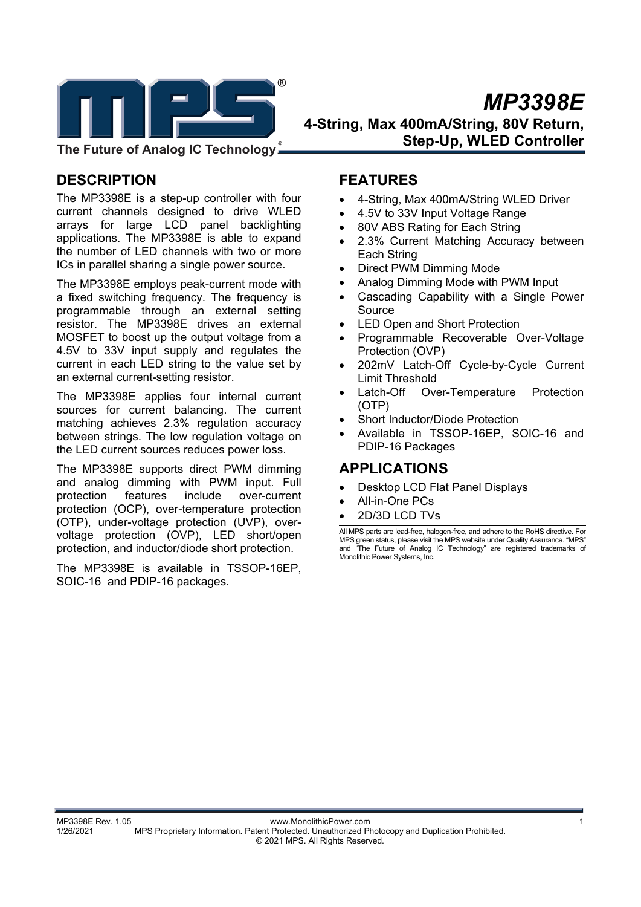

 *MP3398E*  **4-String, Max 400mA/String, 80V Return, Step-Up, WLED Controller** 

**DESCRIPTION** 

The MP3398E is a step-up controller with four current channels designed to drive WLED arrays for large LCD panel backlighting applications. The MP3398E is able to expand the number of LED channels with two or more ICs in parallel sharing a single power source.

The MP3398E employs peak-current mode with a fixed switching frequency. The frequency is programmable through an external setting resistor. The MP3398E drives an external MOSFET to boost up the output voltage from a 4.5V to 33V input supply and regulates the current in each LED string to the value set by an external current-setting resistor.

The MP3398E applies four internal current sources for current balancing. The current matching achieves 2.3% regulation accuracy between strings. The low regulation voltage on the LED current sources reduces power loss.

The MP3398E supports direct PWM dimming and analog dimming with PWM input. Full protection features include over-current protection (OCP), over-temperature protection (OTP), under-voltage protection (UVP), overvoltage protection (OVP), LED short/open protection, and inductor/diode short protection.

The MP3398E is available in TSSOP-16EP, SOIC-16 and PDIP-16 packages.

## **FEATURES**

- 4-String, Max 400mA/String WLED Driver
- 4.5V to 33V Input Voltage Range
- 80V ABS Rating for Each String
- 2.3% Current Matching Accuracy between Each String
- Direct PWM Dimming Mode
- Analog Dimming Mode with PWM Input
- Cascading Capability with a Single Power Source
- LED Open and Short Protection
- Programmable Recoverable Over-Voltage Protection (OVP)
- 202mV Latch-Off Cycle-by-Cycle Current Limit Threshold
- Latch-Off Over-Temperature Protection (OTP)
- Short Inductor/Diode Protection
- Available in TSSOP-16EP, SOIC-16 and PDIP-16 Packages

## **APPLICATIONS**

- Desktop LCD Flat Panel Displays
- All-in-One PCs
- 2D/3D LCD TVs

All MPS parts are lead-free, halogen-free, and adhere to the RoHS directive. For MPS green status, please visit the MPS website under Quality Assurance. "MPS" and "The Future of Analog IC Technology" are registered trademarks of Monolithic Power Systems, Inc.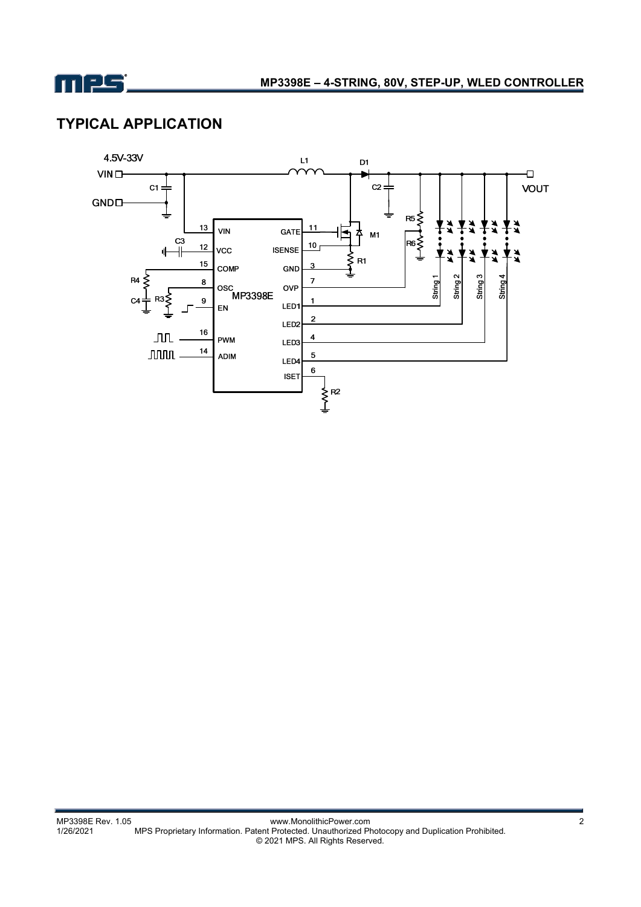

## **TYPICAL APPLICATION**

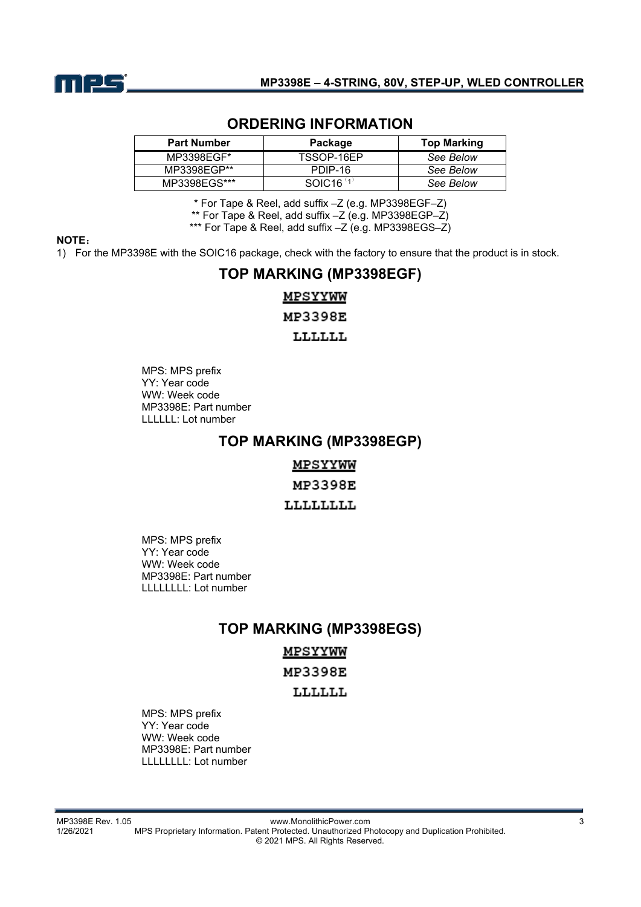

### **ORDERING INFORMATION**

| <b>Part Number</b> | Package               | <b>Top Marking</b> |  |
|--------------------|-----------------------|--------------------|--|
| MP3398EGF*         | TSSOP-16FP            | See Below          |  |
| MP3398EGP**        | PDIP-16               | See Below          |  |
| MP3398EGS***       | SOLC16 <sup>(1)</sup> | See Below          |  |

\* For Tape & Reel, add suffix –Z (e.g. MP3398EGF–Z)

\*\* For Tape & Reel, add suffix –Z (e.g. MP3398EGP–Z)

\*\*\* For Tape & Reel, add suffix –Z (e.g. MP3398EGS–Z)

#### **NOTE**:

1) For the MP3398E with the SOIC16 package, check with the factory to ensure that the product is in stock.

# **TOP MARKING (MP3398EGF)** MPSYYWW **MP3398E**

LLLLLL

MPS: MPS prefix YY: Year code WW: Week code MP3398E: Part number LLLLLL: Lot number

### **TOP MARKING (MP3398EGP)**

<u>MPSYYWW</u>

MP3398E

LLLLLLLL

MPS: MPS prefix YY: Year code WW: Week code MP3398E: Part number LLLLLLLL: Lot number

### **TOP MARKING (MP3398EGS)**

MPSYYWW MP3398E

### LLLLLL

MPS: MPS prefix YY: Year code WW: Week code MP3398E: Part number LLLLLLLL: Lot number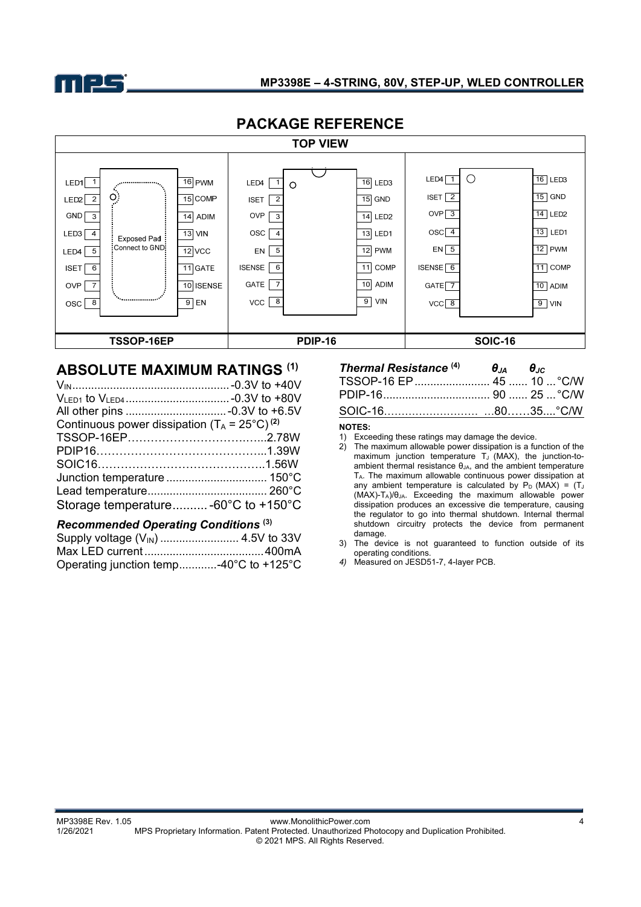

### **MP3398E – 4-STRING, 80V, STEP-UP, WLED CONTROLLER**

| PAUNAUE REFERENUE                                                                                                                                                                                                             |                                                                                               |                                                                                                                                                                                                              |                                                                                                                                                           |                                                                                                                                    |                                                                                                                                                             |  |  |
|-------------------------------------------------------------------------------------------------------------------------------------------------------------------------------------------------------------------------------|-----------------------------------------------------------------------------------------------|--------------------------------------------------------------------------------------------------------------------------------------------------------------------------------------------------------------|-----------------------------------------------------------------------------------------------------------------------------------------------------------|------------------------------------------------------------------------------------------------------------------------------------|-------------------------------------------------------------------------------------------------------------------------------------------------------------|--|--|
| <b>TOP VIEW</b>                                                                                                                                                                                                               |                                                                                               |                                                                                                                                                                                                              |                                                                                                                                                           |                                                                                                                                    |                                                                                                                                                             |  |  |
| LED1<br><br>Ö<br>$\overline{2}$<br>LED2<br>GND  <br>$\mathbf{3}$<br>LED3<br>$\overline{a}$<br><b>Exposed Pad</b><br>Connect to GND:<br>5<br>LED4<br>6<br><b>ISET</b><br>$\overline{7}$<br><b>OVP</b><br>""<br>8<br><b>OSC</b> | 16 PWM<br>$15$ COMP<br>ADIM<br>14<br>$13$ VIN<br>$12$ VCC<br>$11$ GATE<br>10 ISENSE<br>$9$ EN | $\mathbf{1}$<br>LED4<br>$\circ$<br>$\overline{2}$<br><b>ISET</b><br>OVP<br>$\mathbf{3}$<br><b>OSC</b><br>$\overline{4}$<br>5<br>EN<br>6<br><b>ISENSE</b><br><b>GATE</b><br>$\overline{7}$<br>8<br><b>VCC</b> | 16<br>LED <sub>3</sub><br>$15$ GND<br>14 LED <sub>2</sub><br>13<br>LED1<br>12<br><b>PWM</b><br><b>COMP</b><br>11<br>10<br><b>ADIM</b><br>9 <br><b>VIN</b> | $\bigcirc$<br>LED4<br>$\overline{2}$<br>ISET  <br>OVP $\sqrt{3}$<br>$OSC$ 4<br>$EN \vert 5$<br>ISENSE $6$<br>$GATE$ 7<br>$VCC$ $8$ | $16$ LED3<br>$\overline{15}$ GND<br>$\overline{14}$ LED <sub>2</sub><br>$\overline{13}$ LED1<br>$12$ PWM<br>$11$ COMP<br>$10$ ADIM<br>$\overline{9}$<br>VIN |  |  |
| TSSOP-16EP                                                                                                                                                                                                                    |                                                                                               | <b>PDIP-16</b>                                                                                                                                                                                               |                                                                                                                                                           |                                                                                                                                    | <b>SOIC-16</b>                                                                                                                                              |  |  |

## **PACKAGE REFERENCE**

### **ABSOLUTE MAXIMUM RATINGS (1)**

| Continuous power dissipation $(T_A = 25^{\circ}C)^{(2)}$ |  |
|----------------------------------------------------------|--|
|                                                          |  |
|                                                          |  |
|                                                          |  |
|                                                          |  |
|                                                          |  |
| Storage temperature -60°C to +150°C                      |  |

#### *Recommended Operating Conditions* **(3)**

| Operating junction temp-40°C to +125°C |  |
|----------------------------------------|--|

### *Thermal Resistance*  $^{(4)}$  *θJ<sub>A</sub> θJ<sub>C</sub>* TSSOP-16 EP ........................ 45 ...... 10 ... °C/W PDIP-16 .................................. 90 ...... 25 ... °C/W SOIC-16……………………… …80……35....°C/W

#### **NOTES:**

- 2) The maximum allowable power dissipation is a function of the maximum junction temperature  $T_J$  (MAX), the junction-toambient thermal resistance θ<sub>JA</sub>, and the ambient temperature TA. The maximum allowable continuous power dissipation at any ambient temperature is calculated by  $P_D$  (MAX) = (TJ) (MAX)-TA)/θJA. Exceeding the maximum allowable power dissipation produces an excessive die temperature, causing the regulator to go into thermal shutdown. Internal thermal shutdown circuitry protects the device from permanent damage.
- 3) The device is not guaranteed to function outside of its operating conditions.
- *4)* Measured on JESD51-7, 4-layer PCB.

<sup>1)</sup> Exceeding these ratings may damage the device.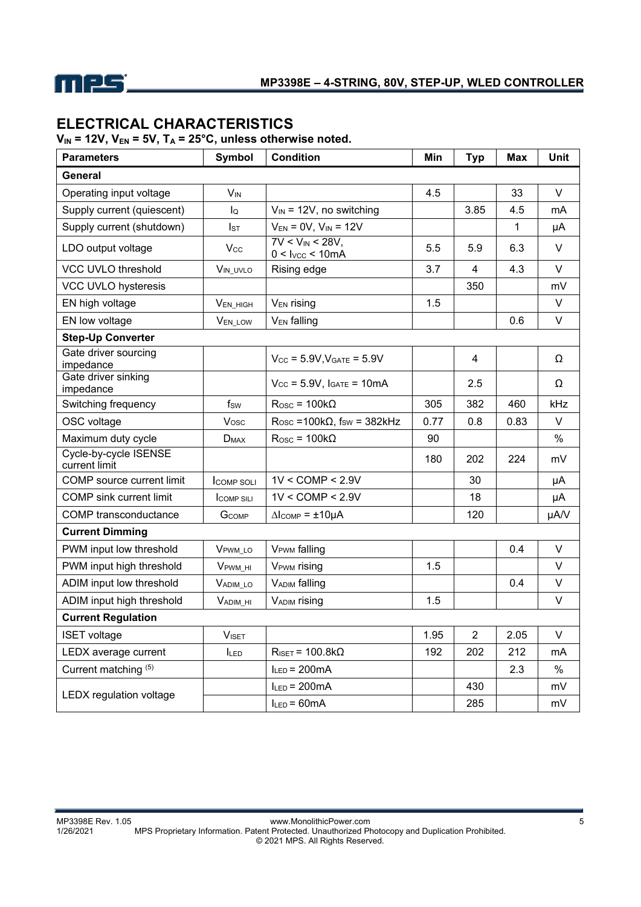

## **ELECTRICAL CHARACTERISTICS**

 $V_{IN}$  = 12V,  $V_{EN}$  = 5V,  $T_A$  = 25°C, unless otherwise noted.

| <b>Parameters</b>                      | Symbol              | <b>Condition</b>                                               | Min  | <b>Typ</b>     | <b>Max</b> | <b>Unit</b> |
|----------------------------------------|---------------------|----------------------------------------------------------------|------|----------------|------------|-------------|
| General                                |                     |                                                                |      |                |            |             |
| Operating input voltage                | $V_{IN}$            |                                                                | 4.5  |                | 33         | V           |
| Supply current (quiescent)             | $I_{\mathsf{Q}}$    | $V_{IN}$ = 12V, no switching                                   |      | 3.85           | 4.5        | mA          |
| Supply current (shutdown)              | $I_{ST}$            | $V_{EN} = 0V$ , $V_{IN} = 12V$                                 |      |                | 1          | μA          |
| LDO output voltage                     | $V_{\rm CC}$        | $7V < V_{IN} < 28V$<br>0 < I <sub>VCC</sub> < 10 <sub>mA</sub> | 5.5  | 5.9            | 6.3        | V           |
| VCC UVLO threshold                     | VIN_UVLO            | Rising edge                                                    | 3.7  | 4              | 4.3        | V           |
| VCC UVLO hysteresis                    |                     |                                                                |      | 350            |            | mV          |
| EN high voltage                        | VEN_HIGH            | V <sub>EN</sub> rising                                         | 1.5  |                |            | V           |
| EN low voltage                         | <b>VEN LOW</b>      | V <sub>EN</sub> falling                                        |      |                | 0.6        | V           |
| <b>Step-Up Converter</b>               |                     |                                                                |      |                |            |             |
| Gate driver sourcing<br>impedance      |                     | $V_{CC}$ = 5.9V, $V_{GATE}$ = 5.9V                             |      | 4              |            | Ω           |
| Gate driver sinking<br>impedance       |                     | $V_{CC}$ = 5.9V, $I_{GATE}$ = 10mA                             |      | 2.5            |            | Ω           |
| Switching frequency                    | fsw                 | $R$ osc = 100k $\Omega$                                        | 305  | 382            | 460        | kHz         |
| OSC voltage                            | Vosc                | $Rosc = 100k\Omega$ , fsw = 382kHz                             | 0.77 | 0.8            | 0.83       | V           |
| Maximum duty cycle                     | D <sub>MAX</sub>    | $Rosc = 100k\Omega$                                            | 90   |                |            | $\%$        |
| Cycle-by-cycle ISENSE<br>current limit |                     |                                                                | 180  | 202            | 224        | mV          |
| COMP source current limit              | <b>COMP SOLI</b>    | $1V <$ COMP $<$ 2.9V                                           |      | 30             |            | μA          |
| <b>COMP</b> sink current limit         | <b>COMP SILI</b>    | $1V <$ COMP $<$ 2.9V                                           |      | 18             |            | μA          |
| COMP transconductance                  | GCOMP               | $\Delta$ Icomp = $\pm$ 10µA                                    |      | 120            |            | µA/V        |
| <b>Current Dimming</b>                 |                     |                                                                |      |                |            |             |
| PWM input low threshold                | V <sub>PWM_LO</sub> | <b>VPWM</b> falling                                            |      |                | 0.4        | V           |
| PWM input high threshold               | V <sub>PWM</sub> HI | V <sub>PWM</sub> rising                                        | 1.5  |                |            | V           |
| ADIM input low threshold               | VADIM LO            | <b>VADIM</b> falling                                           |      |                | 0.4        | V           |
| ADIM input high threshold              | $V_{ADIM_HI}$       | VADIM rising                                                   | 1.5  |                |            | V           |
| <b>Current Regulation</b>              |                     |                                                                |      |                |            |             |
| <b>ISET</b> voltage                    | <b>VISET</b>        |                                                                | 1.95 | $\overline{2}$ | 2.05       | V           |
| LEDX average current                   | <b>ILED</b>         | $R_{\text{ISET}} = 100.8 \text{k}\Omega$                       | 192  | 202            | 212        | mA          |
| Current matching (5)                   |                     | $I_{LED} = 200mA$                                              |      |                | 2.3        | $\%$        |
| LEDX regulation voltage                |                     | $I_{LED} = 200mA$                                              |      | 430            |            | mV          |
|                                        |                     | $I_{LED} = 60mA$                                               |      | 285            |            | mV          |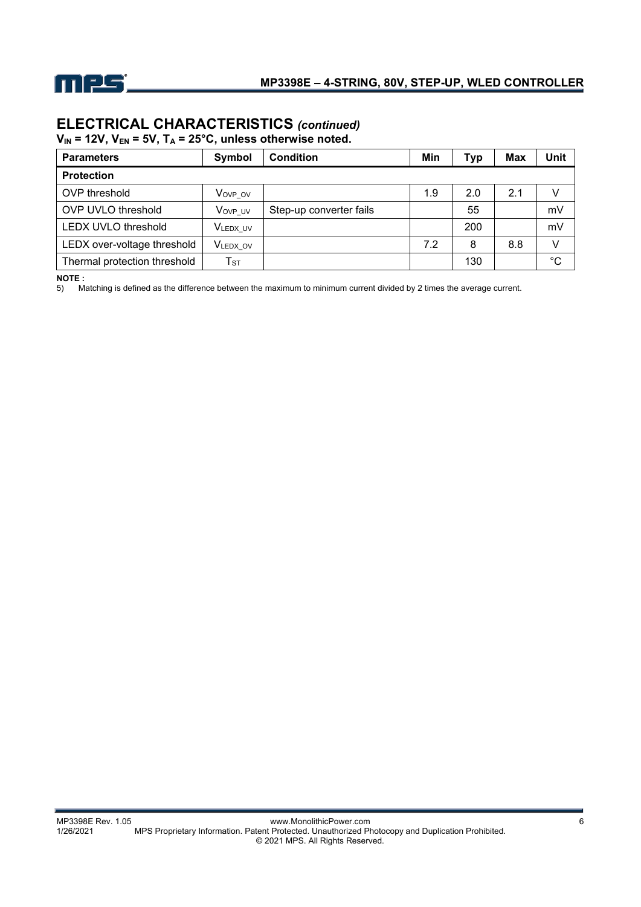

# **ELECTRICAL CHARACTERISTICS** *(continued)*

 $V_{IN}$  = 12V,  $V_{EN}$  = 5V,  $T_A$  = 25°C, unless otherwise noted.

| <b>Parameters</b>            | Symbol                     | <b>Condition</b>        | Min | Typ | <b>Max</b> | Unit        |  |  |
|------------------------------|----------------------------|-------------------------|-----|-----|------------|-------------|--|--|
| <b>Protection</b>            |                            |                         |     |     |            |             |  |  |
| OVP threshold                | Vovp_ov                    |                         | 1.9 | 2.0 | 2.1        |             |  |  |
| <b>OVP UVLO threshold</b>    | Vovp uv                    | Step-up converter fails |     | 55  |            | mV          |  |  |
| <b>LEDX UVLO threshold</b>   | VLEDX_UV                   |                         |     | 200 |            | mV          |  |  |
| LEDX over-voltage threshold  | V <sub>LEDX_OV</sub>       |                         | 7.2 | 8   | 8.8        |             |  |  |
| Thermal protection threshold | $\mathsf{T}_{\texttt{ST}}$ |                         |     | 130 |            | $^{\circ}C$ |  |  |

**NOTE :** 

5) Matching is defined as the difference between the maximum to minimum current divided by 2 times the average current.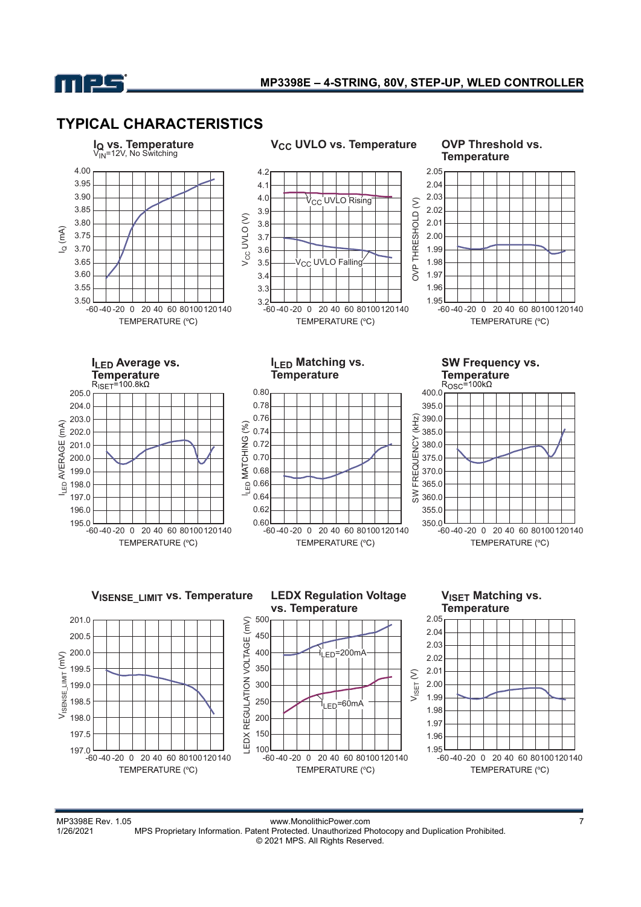

### **TYPICAL CHARACTERISTICS**



MP3398E Rev. 1.05 www.MonolithicPower.com<br>1/26/2021 MPS Proprietary Information. Patent Protected. Unauthorized Photocopy and Duplication Prohibited. MPS Proprietary Information. Patent Protected. Unauthorized Photocopy and Duplication Prohibited. © 2021 MPS. All Rights Reserved.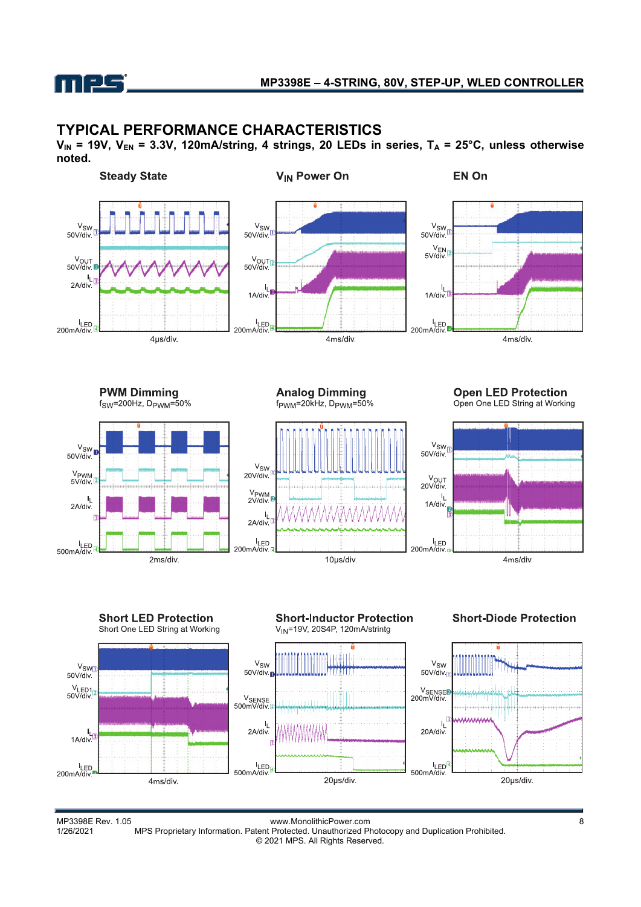

### **TYPICAL PERFORMANCE CHARACTERISTICS**

V<sub>IN</sub> = 19V, V<sub>EN</sub> = 3.3V, 120mA/string, 4 strings, 20 LEDs in series, T<sub>A</sub> = 25°C, unless otherwise **noted.**





MP3398E Rev. 1.05 www.MonolithicPower.com<br>1/26/2021 MPS Proprietary Information. Patent Protected. Unauthorized Photocopy and Duplication Prohibited. MPS Proprietary Information. Patent Protected. Unauthorized Photocopy and Duplication Prohibited. © 2021 MPS. All Rights Reserved.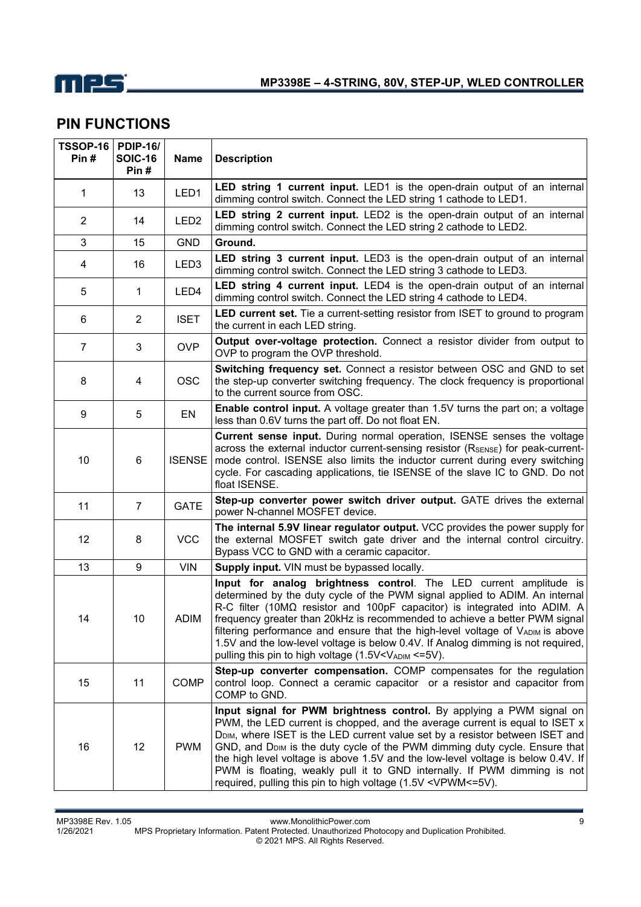

## **PIN FUNCTIONS**

| <b>TSSOP-16</b><br>Pin# | <b>PDIP-16/</b><br><b>SOIC-16</b><br>Pin # | <b>Name</b>      | <b>Description</b>                                                                                                                                                                                                                                                                                                                                                                                                                                                                                                                                                                             |
|-------------------------|--------------------------------------------|------------------|------------------------------------------------------------------------------------------------------------------------------------------------------------------------------------------------------------------------------------------------------------------------------------------------------------------------------------------------------------------------------------------------------------------------------------------------------------------------------------------------------------------------------------------------------------------------------------------------|
| 1                       | 13                                         | LED1             | LED string 1 current input. LED1 is the open-drain output of an internal<br>dimming control switch. Connect the LED string 1 cathode to LED1.                                                                                                                                                                                                                                                                                                                                                                                                                                                  |
| $\overline{2}$          | 14                                         | LED <sub>2</sub> | <b>LED string 2 current input.</b> LED2 is the open-drain output of an internal<br>dimming control switch. Connect the LED string 2 cathode to LED2.                                                                                                                                                                                                                                                                                                                                                                                                                                           |
| 3                       | 15                                         | <b>GND</b>       | Ground.                                                                                                                                                                                                                                                                                                                                                                                                                                                                                                                                                                                        |
| 4                       | 16                                         | LED <sub>3</sub> | LED string 3 current input. LED3 is the open-drain output of an internal<br>dimming control switch. Connect the LED string 3 cathode to LED3.                                                                                                                                                                                                                                                                                                                                                                                                                                                  |
| 5                       | 1                                          | LED4             | LED string 4 current input. LED4 is the open-drain output of an internal<br>dimming control switch. Connect the LED string 4 cathode to LED4.                                                                                                                                                                                                                                                                                                                                                                                                                                                  |
| 6                       | $\overline{2}$                             | <b>ISET</b>      | <b>LED current set.</b> Tie a current-setting resistor from ISET to ground to program<br>the current in each LED string.                                                                                                                                                                                                                                                                                                                                                                                                                                                                       |
| $\overline{7}$          | 3                                          | <b>OVP</b>       | Output over-voltage protection. Connect a resistor divider from output to<br>OVP to program the OVP threshold.                                                                                                                                                                                                                                                                                                                                                                                                                                                                                 |
| 8                       | 4                                          | <b>OSC</b>       | Switching frequency set. Connect a resistor between OSC and GND to set<br>the step-up converter switching frequency. The clock frequency is proportional<br>to the current source from OSC.                                                                                                                                                                                                                                                                                                                                                                                                    |
| 9                       | 5                                          | EN               | <b>Enable control input.</b> A voltage greater than 1.5V turns the part on; a voltage<br>less than 0.6V turns the part off. Do not float EN.                                                                                                                                                                                                                                                                                                                                                                                                                                                   |
| 10                      | 6                                          | <b>ISENSE</b>    | Current sense input. During normal operation, ISENSE senses the voltage<br>across the external inductor current-sensing resistor (RSENSE) for peak-current-<br>mode control. ISENSE also limits the inductor current during every switching<br>cycle. For cascading applications, tie ISENSE of the slave IC to GND. Do not<br>float ISENSE.                                                                                                                                                                                                                                                   |
| 11                      | $\overline{7}$                             | <b>GATE</b>      | Step-up converter power switch driver output. GATE drives the external<br>power N-channel MOSFET device.                                                                                                                                                                                                                                                                                                                                                                                                                                                                                       |
| 12                      | 8                                          | <b>VCC</b>       | The internal 5.9V linear regulator output. VCC provides the power supply for<br>the external MOSFET switch gate driver and the internal control circuitry.<br>Bypass VCC to GND with a ceramic capacitor.                                                                                                                                                                                                                                                                                                                                                                                      |
| 13                      | 9                                          | <b>VIN</b>       | Supply input. VIN must be bypassed locally.                                                                                                                                                                                                                                                                                                                                                                                                                                                                                                                                                    |
| 14                      | 10                                         | <b>ADIM</b>      | Input for analog brightness control. The LED current amplitude is<br>determined by the duty cycle of the PWM signal applied to ADIM. An internal<br>R-C filter (10M $\Omega$ resistor and 100pF capacitor) is integrated into ADIM. A<br>frequency greater than 20kHz is recommended to achieve a better PWM signal<br>filtering performance and ensure that the high-level voltage of VADIM is above<br>1.5V and the low-level voltage is below 0.4V. If Analog dimming is not required,<br>pulling this pin to high voltage (1.5V <vadim <="5V).&lt;/td"></vadim>                            |
| 15                      | 11                                         | <b>COMP</b>      | Step-up converter compensation. COMP compensates for the regulation<br>control loop. Connect a ceramic capacitor or a resistor and capacitor from<br>COMP to GND.                                                                                                                                                                                                                                                                                                                                                                                                                              |
| 16                      | 12                                         | <b>PWM</b>       | Input signal for PWM brightness control. By applying a PWM signal on<br>PWM, the LED current is chopped, and the average current is equal to ISET $x$<br>D <sub>DIM</sub> , where ISET is the LED current value set by a resistor between ISET and<br>GND, and D <sub>DIM</sub> is the duty cycle of the PWM dimming duty cycle. Ensure that<br>the high level voltage is above 1.5V and the low-level voltage is below 0.4V. If<br>PWM is floating, weakly pull it to GND internally. If PWM dimming is not<br>required, pulling this pin to high voltage (1.5V <vpwm <="5V).&lt;/td"></vpwm> |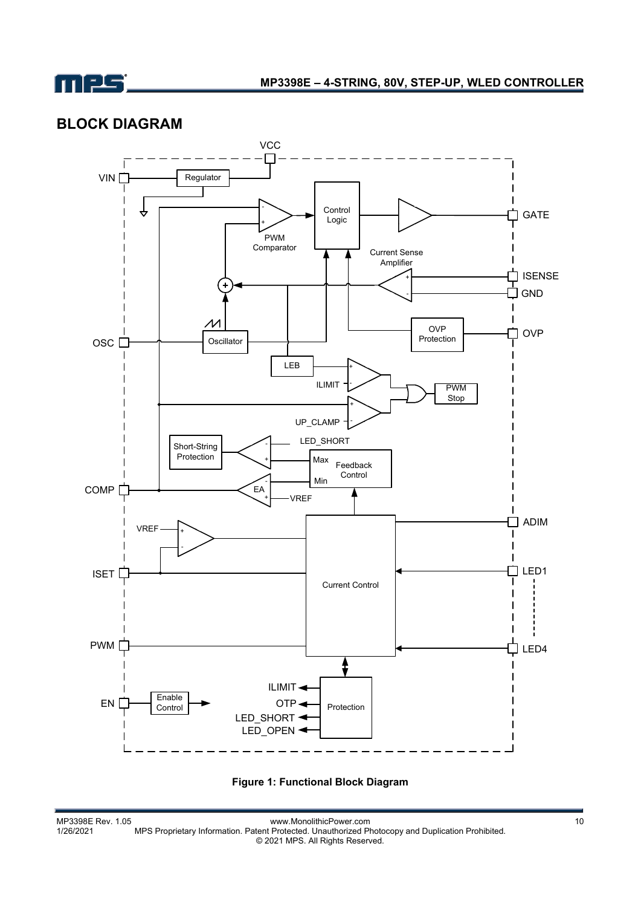

## **BLOCK DIAGRAM**



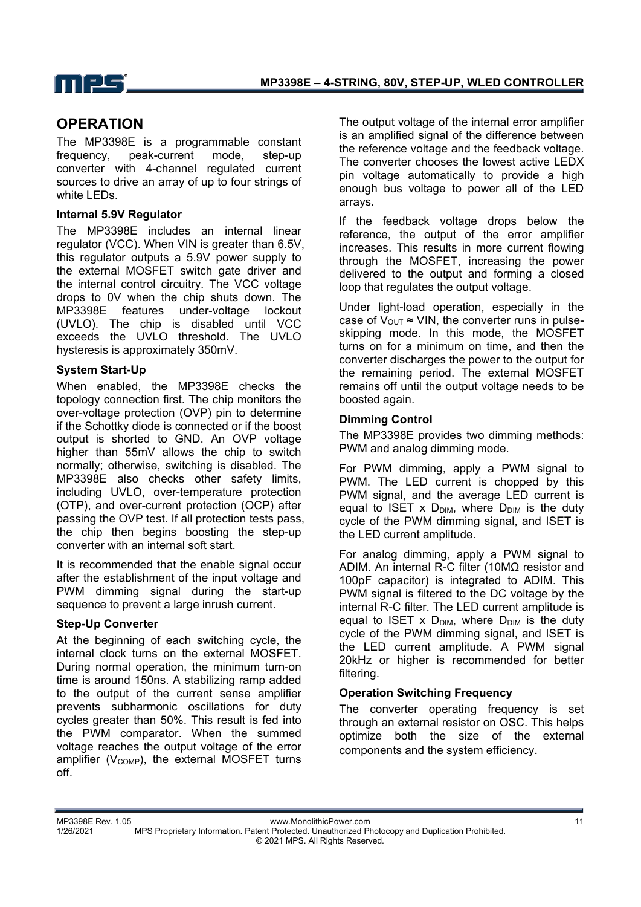

### **OPERATION**

The MP3398E is a programmable constant frequency, peak-current mode, step-up converter with 4-channel regulated current sources to drive an array of up to four strings of white LEDs.

#### **Internal 5.9V Regulator**

The MP3398E includes an internal linear regulator (VCC). When VIN is greater than 6.5V, this regulator outputs a 5.9V power supply to the external MOSFET switch gate driver and the internal control circuitry. The VCC voltage drops to 0V when the chip shuts down. The MP3398E features under-voltage lockout (UVLO). The chip is disabled until VCC exceeds the UVLO threshold. The UVLO hysteresis is approximately 350mV.

#### **System Start-Up**

When enabled, the MP3398E checks the topology connection first. The chip monitors the over-voltage protection (OVP) pin to determine if the Schottky diode is connected or if the boost output is shorted to GND. An OVP voltage higher than 55mV allows the chip to switch normally; otherwise, switching is disabled. The MP3398E also checks other safety limits, including UVLO, over-temperature protection (OTP), and over-current protection (OCP) after passing the OVP test. If all protection tests pass, the chip then begins boosting the step-up converter with an internal soft start.

It is recommended that the enable signal occur after the establishment of the input voltage and PWM dimming signal during the start-up sequence to prevent a large inrush current.

### **Step-Up Converter**

At the beginning of each switching cycle, the internal clock turns on the external MOSFET. During normal operation, the minimum turn-on time is around 150ns. A stabilizing ramp added to the output of the current sense amplifier prevents subharmonic oscillations for duty cycles greater than 50%. This result is fed into the PWM comparator. When the summed voltage reaches the output voltage of the error amplifier ( $V_{\text{COMP}}$ ), the external MOSFET turns off.

The output voltage of the internal error amplifier is an amplified signal of the difference between the reference voltage and the feedback voltage. The converter chooses the lowest active LEDX pin voltage automatically to provide a high enough bus voltage to power all of the LED arrays.

If the feedback voltage drops below the reference, the output of the error amplifier increases. This results in more current flowing through the MOSFET, increasing the power delivered to the output and forming a closed loop that regulates the output voltage.

Under light-load operation, especially in the case of  $V_{\text{OUT}} \approx VIN$ , the converter runs in pulseskipping mode. In this mode, the MOSFET turns on for a minimum on time, and then the converter discharges the power to the output for the remaining period. The external MOSFET remains off until the output voltage needs to be boosted again.

### **Dimming Control**

The MP3398E provides two dimming methods: PWM and analog dimming mode.

For PWM dimming, apply a PWM signal to PWM. The LED current is chopped by this PWM signal, and the average LED current is equal to ISET x  $D_{\text{DIM}}$ , where  $D_{\text{DIM}}$  is the duty cycle of the PWM dimming signal, and ISET is the LED current amplitude.

For analog dimming, apply a PWM signal to ADIM. An internal R-C filter (10MΩ resistor and 100pF capacitor) is integrated to ADIM. This PWM signal is filtered to the DC voltage by the internal R-C filter. The LED current amplitude is equal to ISET x  $D_{DIM}$ , where  $D_{DIM}$  is the duty cycle of the PWM dimming signal, and ISET is the LED current amplitude. A PWM signal 20kHz or higher is recommended for better filtering.

### **Operation Switching Frequency**

The converter operating frequency is set through an external resistor on OSC. This helps optimize both the size of the external components and the system efficiency.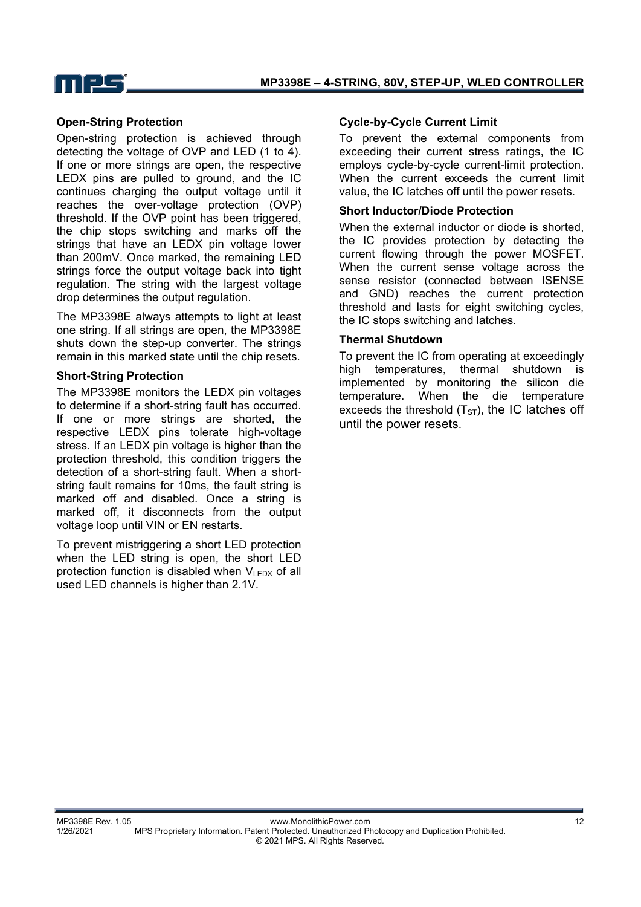



#### **Open-String Protection**

Open-string protection is achieved through detecting the voltage of OVP and LED (1 to 4). If one or more strings are open, the respective LEDX pins are pulled to ground, and the IC continues charging the output voltage until it reaches the over-voltage protection (OVP) threshold. If the OVP point has been triggered, the chip stops switching and marks off the strings that have an LEDX pin voltage lower than 200mV. Once marked, the remaining LED strings force the output voltage back into tight regulation. The string with the largest voltage drop determines the output regulation.

The MP3398E always attempts to light at least one string. If all strings are open, the MP3398E shuts down the step-up converter. The strings remain in this marked state until the chip resets.

#### **Short-String Protection**

The MP3398E monitors the LEDX pin voltages to determine if a short-string fault has occurred. If one or more strings are shorted, the respective LEDX pins tolerate high-voltage stress. If an LEDX pin voltage is higher than the protection threshold, this condition triggers the detection of a short-string fault. When a shortstring fault remains for 10ms, the fault string is marked off and disabled. Once a string is marked off, it disconnects from the output voltage loop until VIN or EN restarts.

To prevent mistriggering a short LED protection when the LED string is open, the short LED protection function is disabled when  $V_{LEDX}$  of all used LED channels is higher than 2.1V.

#### **Cycle-by-Cycle Current Limit**

To prevent the external components from exceeding their current stress ratings, the IC employs cycle-by-cycle current-limit protection. When the current exceeds the current limit value, the IC latches off until the power resets.

#### **Short Inductor/Diode Protection**

When the external inductor or diode is shorted. the IC provides protection by detecting the current flowing through the power MOSFET. When the current sense voltage across the sense resistor (connected between ISENSE and GND) reaches the current protection threshold and lasts for eight switching cycles, the IC stops switching and latches.

#### **Thermal Shutdown**

To prevent the IC from operating at exceedingly high temperatures, thermal shutdown is implemented by monitoring the silicon die temperature. When the die temperature exceeds the threshold  $(T<sub>ST</sub>)$ , the IC latches off until the power resets.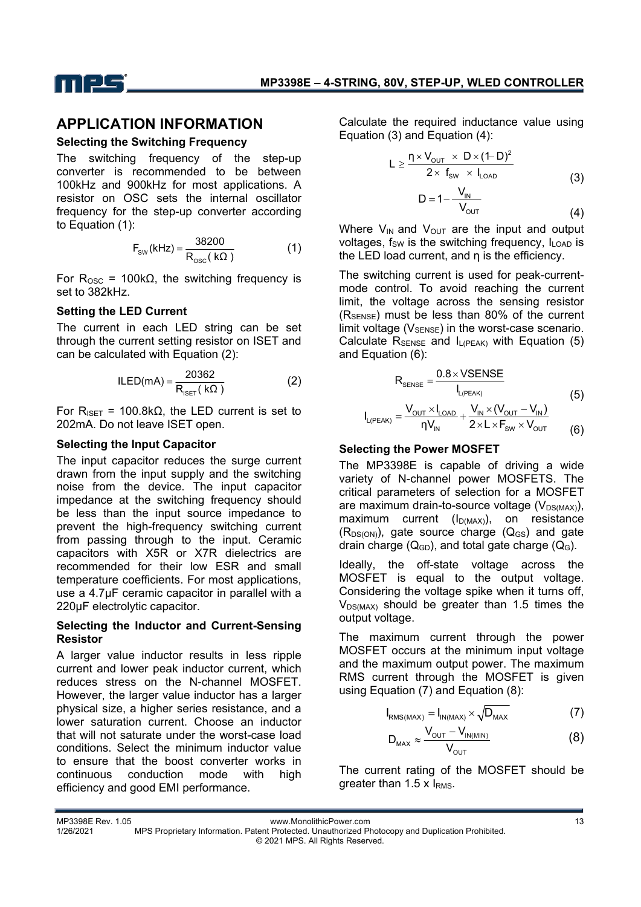

### **APPLICATION INFORMATION**

#### **Selecting the Switching Frequency**

The switching frequency of the step-up converter is recommended to be between 100kHz and 900kHz for most applications. A resistor on OSC sets the internal oscillator frequency for the step-up converter according to Equation (1):

$$
F_{\text{sw}}(\text{kHz}) = \frac{38200}{R_{\text{osc}}(\text{k}\Omega)}\tag{1}
$$

For  $R<sub>osc</sub> = 100kΩ$ , the switching frequency is set to 382kHz.

### **Setting the LED Current**

The current in each LED string can be set through the current setting resistor on ISET and can be calculated with Equation (2):

$$
ILED(mA) = \frac{20362}{R_{ISET}(k\Omega)}
$$
 (2)

For R<sub>ISET</sub> = 100.8kΩ, the LED current is set to 202mA. Do not leave ISET open.

#### **Selecting the Input Capacitor**

The input capacitor reduces the surge current drawn from the input supply and the switching noise from the device. The input capacitor impedance at the switching frequency should be less than the input source impedance to prevent the high-frequency switching current from passing through to the input. Ceramic capacitors with X5R or X7R dielectrics are recommended for their low ESR and small temperature coefficients. For most applications, use a 4.7μF ceramic capacitor in parallel with a 220µF electrolytic capacitor.

#### **Selecting the Inductor and Current-Sensing Resistor**

A larger value inductor results in less ripple current and lower peak inductor current, which reduces stress on the N-channel MOSFET. However, the larger value inductor has a larger physical size, a higher series resistance, and a lower saturation current. Choose an inductor that will not saturate under the worst-case load conditions. Select the minimum inductor value to ensure that the boost converter works in continuous conduction mode with high efficiency and good EMI performance.

Calculate the required inductance value using Equation (3) and Equation (4):

$$
L \ge \frac{\eta \times V_{\text{OUT}} \times D \times (1-D)^2}{2 \times f_{\text{SW}} \times I_{\text{LOAD}}}
$$
\n
$$
D = 1 - \frac{V_{\text{IN}}}{V_{\text{OUT}}}
$$
\n(3)

$$
(\mathbf{4})
$$

Where  $V_{IN}$  and  $V_{OUT}$  are the input and output voltages,  $f_{SW}$  is the switching frequency,  $I_{LOAD}$  is the LED load current, and η is the efficiency.

The switching current is used for peak-currentmode control. To avoid reaching the current limit, the voltage across the sensing resistor  $(R_{\text{SENSE}})$  must be less than 80% of the current limit voltage  $(V_{\text{SPNSF}})$  in the worst-case scenario. Calculate  $R_{\text{SENSE}}$  and  $I_{\text{L(PEAK)}}$  with Equation (5) and Equation (6):

$$
R_{\text{SENSE}} = \frac{0.8 \times \text{VSENSE}}{I_{L(PEAR)}} \tag{5}
$$

$$
I_{L(PEAK)} = \frac{V_{OUT} \times I_{LOAD}}{\eta V_{IN}} + \frac{V_{IN} \times (V_{OUT} - V_{IN})}{2 \times L \times F_{SW} \times V_{OUT}}
$$
(6)

### **Selecting the Power MOSFET**

The MP3398E is capable of driving a wide variety of N-channel power MOSFETS. The critical parameters of selection for a MOSFET are maximum drain-to-source voltage  $(V_{DS(MAX)})$ , maximum current  $(I_{D(MAX)})$ , on resistance  $(R_{DS(ON)})$ , gate source charge  $(Q_{GS})$  and gate drain charge  $(Q_{GD})$ , and total gate charge  $(Q_G)$ .

Ideally, the off-state voltage across the MOSFET is equal to the output voltage. Considering the voltage spike when it turns off,  $V_{DS(MAX)}$  should be greater than 1.5 times the output voltage.

The maximum current through the power MOSFET occurs at the minimum input voltage and the maximum output power. The maximum RMS current through the MOSFET is given using Equation (7) and Equation (8):

$$
I_{\text{RMS(MAX)}} = I_{\text{IN(MAX)}} \times \sqrt{D_{\text{MAX}}} \tag{7}
$$

$$
D_{\text{max}} \approx \frac{V_{\text{out}} - V_{\text{IN(MIN)}}}{V_{\text{out}}}
$$
 (8)

The current rating of the MOSFET should be greater than 1.5  $\times$  I<sub>RMS</sub>.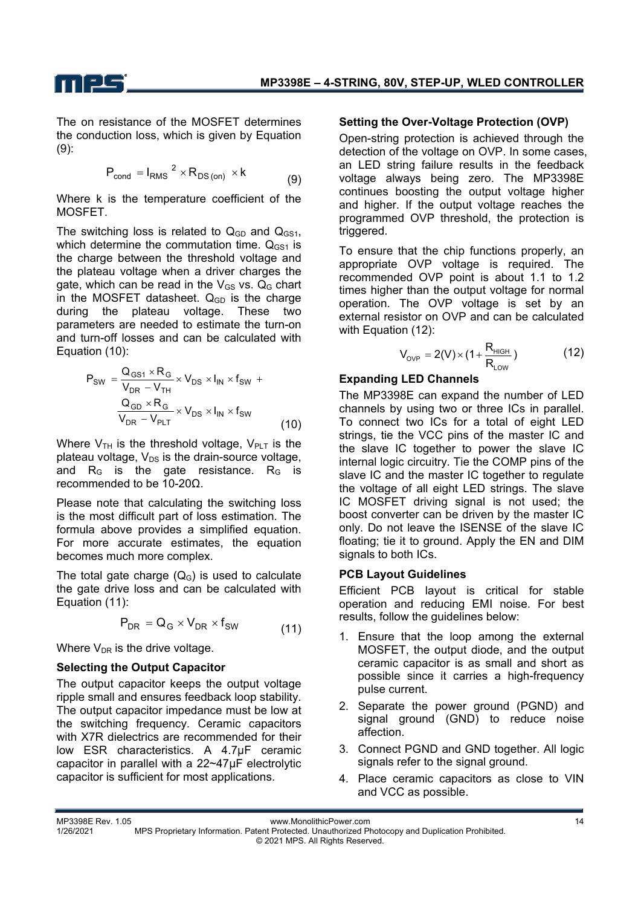



The on resistance of the MOSFET determines the conduction loss, which is given by Equation (9):

$$
P_{\text{cond}} = I_{\text{RMS}}^{2} \times R_{\text{DS (on)}} \times k \tag{9}
$$

Where k is the temperature coefficient of the MOSFET.

The switching loss is related to  $Q<sub>GD</sub>$  and  $Q<sub>GSI</sub>$ , which determine the commutation time.  $Q_{GS1}$  is the charge between the threshold voltage and the plateau voltage when a driver charges the gate, which can be read in the  $V_{GS}$  vs.  $Q_G$  chart in the MOSFET datasheet.  $Q_{GD}$  is the charge during the plateau voltage. These two parameters are needed to estimate the turn-on and turn-off losses and can be calculated with Equation (10):

$$
P_{SW} = \frac{Q_{GS1} \times R_G}{V_{DR} - V_{TH}} \times V_{DS} \times I_{IN} \times f_{SW} +
$$
  

$$
\frac{Q_{GD} \times R_G}{V_{DR} - V_{PLT}} \times V_{DS} \times I_{IN} \times f_{SW}
$$
 (10)

Where  $V_{TH}$  is the threshold voltage,  $V_{PLT}$  is the plateau voltage,  $V_{DS}$  is the drain-source voltage, and  $R<sub>G</sub>$  is the gate resistance.  $R<sub>G</sub>$  is recommended to be 10-20Ω.

Please note that calculating the switching loss is the most difficult part of loss estimation. The formula above provides a simplified equation. For more accurate estimates, the equation becomes much more complex.

The total gate charge  $(Q_G)$  is used to calculate the gate drive loss and can be calculated with Equation (11):

$$
P_{DR} = Q_G \times V_{DR} \times f_{SW}
$$
 (11)

Where  $V_{DR}$  is the drive voltage.

### **Selecting the Output Capacitor**

The output capacitor keeps the output voltage ripple small and ensures feedback loop stability. The output capacitor impedance must be low at the switching frequency. Ceramic capacitors with X7R dielectrics are recommended for their low ESR characteristics. A 4.7μF ceramic capacitor in parallel with a 22~47μF electrolytic capacitor is sufficient for most applications.

#### **Setting the Over-Voltage Protection (OVP)**

Open-string protection is achieved through the detection of the voltage on OVP. In some cases, an LED string failure results in the feedback voltage always being zero. The MP3398E continues boosting the output voltage higher and higher. If the output voltage reaches the programmed OVP threshold, the protection is triggered.

To ensure that the chip functions properly, an appropriate OVP voltage is required. The recommended OVP point is about 1.1 to 1.2 times higher than the output voltage for normal operation. The OVP voltage is set by an external resistor on OVP and can be calculated with Equation (12):

$$
V_{_{OVP}} = 2(V) \times (1 + \frac{R_{_{HIGH}}}{R_{_{LOW}}})
$$
 (12)

### **Expanding LED Channels**

The MP3398E can expand the number of LED channels by using two or three ICs in parallel. To connect two ICs for a total of eight LED strings, tie the VCC pins of the master IC and the slave IC together to power the slave IC internal logic circuitry. Tie the COMP pins of the slave IC and the master IC together to regulate the voltage of all eight LED strings. The slave IC MOSFET driving signal is not used; the boost converter can be driven by the master IC only. Do not leave the ISENSE of the slave IC floating; tie it to ground. Apply the EN and DIM signals to both ICs.

#### **PCB Layout Guidelines**

Efficient PCB layout is critical for stable operation and reducing EMI noise. For best results, follow the guidelines below:

- 1. Ensure that the loop among the external MOSFET, the output diode, and the output ceramic capacitor is as small and short as possible since it carries a high-frequency pulse current.
- 2. Separate the power ground (PGND) and signal ground (GND) to reduce noise affection.
- 3. Connect PGND and GND together. All logic signals refer to the signal ground.
- 4. Place ceramic capacitors as close to VIN and VCC as possible.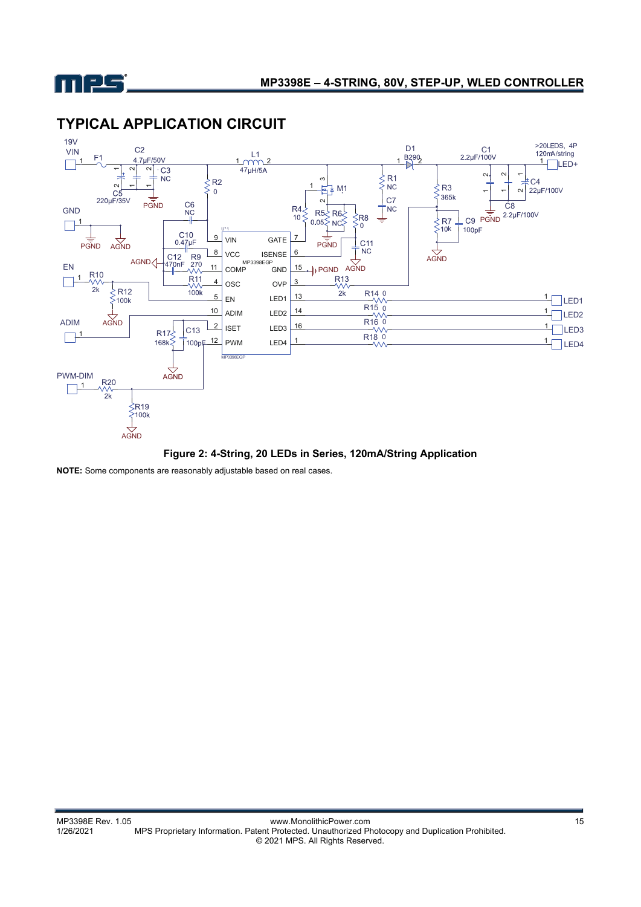



## **TYPICAL APPLICATION CIRCUIT**

**Figure 2: 4-String, 20 LEDs in Series, 120mA/String Application** 

**NOTE:** Some components are reasonably adjustable based on real cases.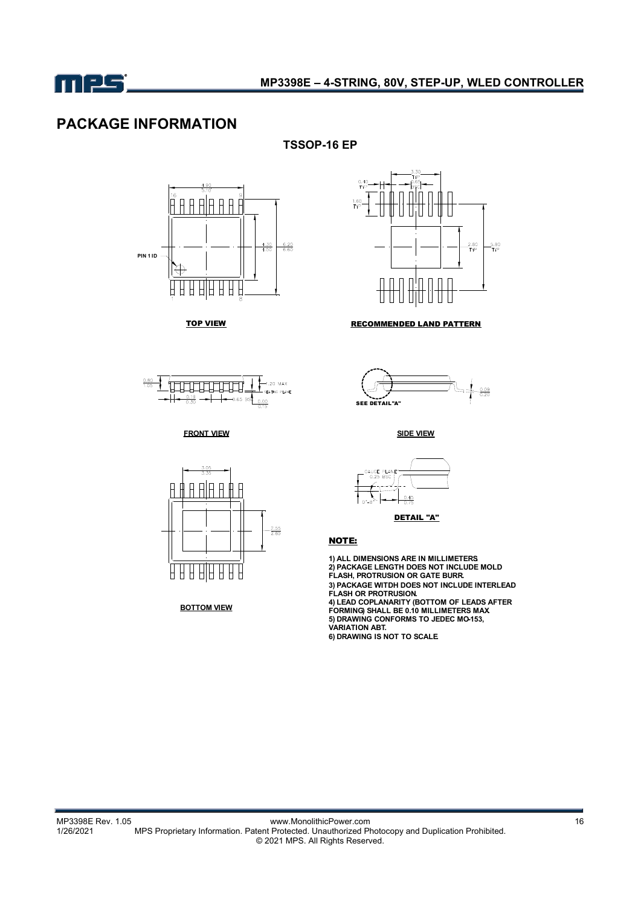

## **PACKAGE INFORMATION**

**TSSOP-16 EP** 





TOP VIEW **RECOMMENDED LAND PATTERN** 



**FRONT VIEW SIDE VIEW**



**BOTTOM VIEW**





DETAIL "A"

#### NOTE:

**1) ALL DIMENSIONS ARE IN MILLIMETERS. 2) PACKAGE LENGTH DOES NOT INCLUDE MOLD FLASH, PROTRUSION OR GATE BURR. 3) PACKAGE WITDH DOES NOT INCLUDE INTERLEAD FLASH OR PROTRUSION. 4) LEAD COPLANARITY (BOTTOM OF LEADS AFTER FORMING) SHALL BE 0.10 MILLIMETERS MAX. 5) DRAWING CONFORMS TO JEDEC MO-153, VARIATION ABT. 6) DRAWING IS NOT TO SCALE.**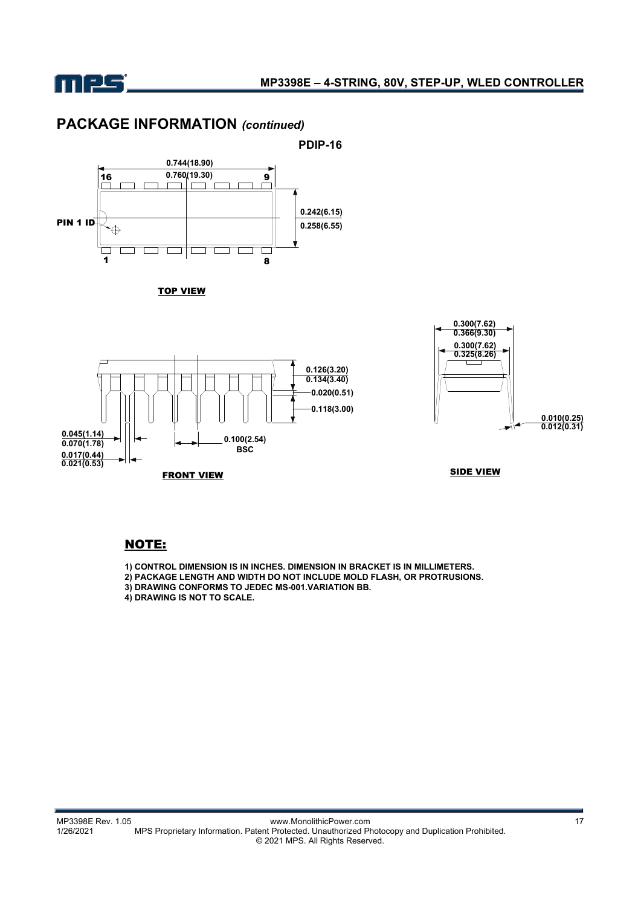

**0.045(1.14) 0.070(1.78) 0.017(0.44) 0.021(0.53)**

## **PACKAGE INFORMATION** *(continued)*





FRONT VIEW **SIDE VIEW** 

#### NOTE:

**1) CONTROL DIMENSION IS IN INCHES. DIMENSION IN BRACKET IS IN MILLIMETERS.**

**2) PACKAGE LENGTH AND WIDTH DO NOT INCLUDE MOLD FLASH, OR PROTRUSIONS.**

**0.118(3.00)**

**3) DRAWING CONFORMS TO JEDEC MS-001.VARIATION BB.**

**0.100(2.54) BSC**

**4) DRAWING IS NOT TO SCALE.**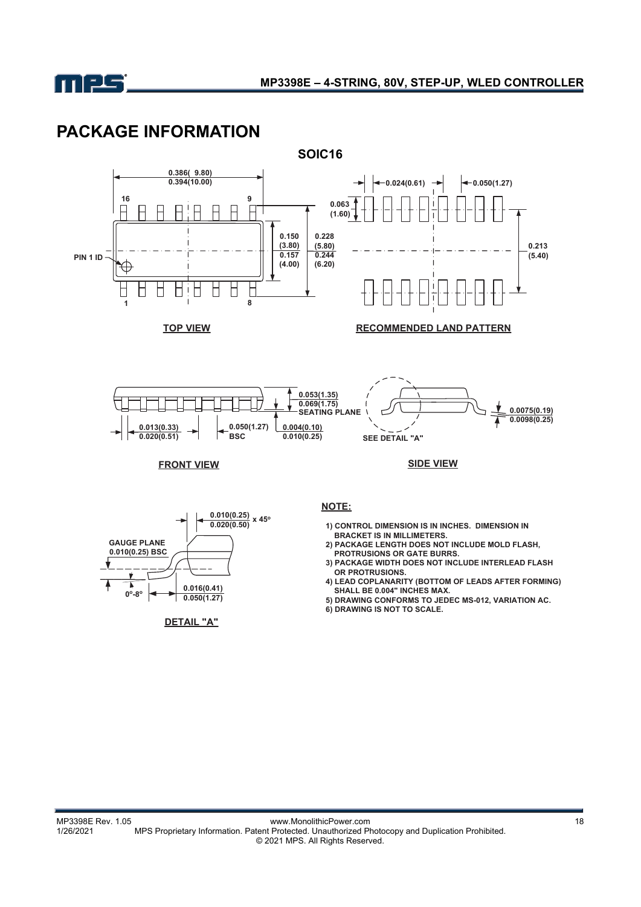

# **PACKAGE INFORMATION**